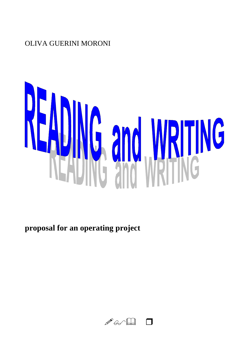## **OLIVA GUERINI MORONI**



proposal for an operating project

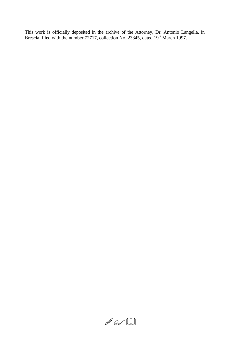This work is officially deposited in the archive of the Attorney, Dr. Antonio Langella, in Brescia, filed with the number 72717, collection No. 23345, dated 19<sup>th</sup> March 1997.

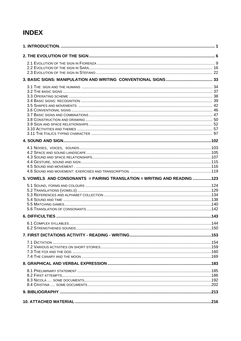## **INDEX**

| 5. VOWELS AND CONSONANTS = PAIRING TRANSLATION = WRITING AND READING 123 |  |
|--------------------------------------------------------------------------|--|
|                                                                          |  |
|                                                                          |  |
|                                                                          |  |
|                                                                          |  |
|                                                                          |  |
|                                                                          |  |
|                                                                          |  |
|                                                                          |  |
|                                                                          |  |
|                                                                          |  |
|                                                                          |  |
|                                                                          |  |
|                                                                          |  |
|                                                                          |  |
|                                                                          |  |
|                                                                          |  |
|                                                                          |  |
|                                                                          |  |
|                                                                          |  |
|                                                                          |  |
|                                                                          |  |
|                                                                          |  |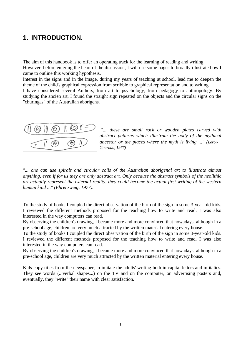## **1. INTRODUCTION.**

The aim of this handbook is to offer an operating track for the learning of reading and writing. However, before entering the heart of the discussion, I will use some pages to broadly illustrate how I came to outline this working hypothesis.

Interest in the signs and in the image, during my years of teaching at school, lead me to deepen the theme of the child's graphical expression from scribble to graphical representation and to writing.

I have considered several Authors, from art to psychology, from pedagogy to anthropology. By studying the ancien art, I found the straight sign repeated on the objects and the circular signs on the "churingas" of the Australian aborigens.



*"... these are small rock or wooden plates carved with abstract patterns which illustrate the body of the mythical ancestor or the places where the myth is living ..." (Leroi-Gourhan, 1977)*

*"... one can use spirals and circular coils of the Australian aborigenal art to illustrate almost anything, even if for us they are only abstract art. Only because the abstract symbols of the neolithic art actually represent the external reality, they could become the actual first writing of the western human kind ..." (Ehrenzweig, 1977).*

To the study of books I coupled the direct observation of the birth of the sign in some 3-year-old kids. I reviewed the different methods proposed for the teaching how to write and read. I was also interested in the way computers can read.

By observing the children's drawing, I became more and more convinced that nowadays, although in a pre-school age, children are very much attracted by the written material entering every house.

To the study of books I coupled the direct observation of the birth of the sign in some 3-year-old kids. I reviewed the different methods proposed for the teaching how to write and read. I was also interested in the way computers can read.

By observing the children's drawing, I became more and more convinced that nowadays, although in a pre-school age, children are very much attracted by the written material entering every house.

Kids copy titles from the newspaper, to imitate the adults' writing both in capital letters and in italics. They see words (...verbal shapes...) on the TV and on the computer, on advertising posters and, eventually, they "write" their name with clear satisfaction.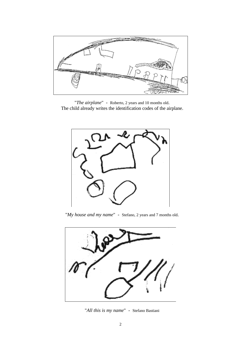

"*The airplane*" - Roberto, 2 years and 10 months old. The child already writes the identification codes of the airplane.



"*My house and my name*" - Stefano, 2 years and 7 months old.



"*All this is my name*" - Stefano Bastiani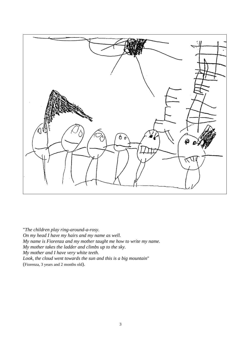

"*The children play ring-around-a-rosy. On my head I have my hairs and my name as well. My name is Fiorenza and my mother taught me how to write my name. My mother takes the ladder and climbs up to the sky. My mother and I have very white teeth. Look, the cloud went towards the sun and this is a big mountain*" (Fiorenza, 3 years and 2 months old).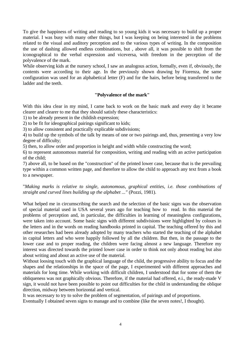To give the happiness of writing and reading to so young kids it was necessary to build up a proper material. I was busy with many other things, but I was keeping on being interested in the problems related to the visual and auditory perception and to the various types of writing. In the composition the use of dashing allowed endless combinations, but , above all, it was possible to shift from the iconographical to the verbal expression and viceversa, with freedom in the perception of the polyvalence of the mark.

While observing kids at the nursery school, I saw an analogous action, formally, even if, obviously, the contents were according to their age. In the previously shown drawing by Fiorenza, the same configuration was used for an alphabetical letter (F) and for the hairs, before being transferred to the ladder and the teeth.

## **"Polyvalence of the mark"**

With this idea clear in my mind, I came back to work on the basic mark and every day it became clearer and clearer to me that they should satisfy these characteristics:

1) to be already present in the childish expression;

2) to be fit for ideographical pairings significant to kids;

3) to allow consistent and practically explicable subdivisions;

4) to build up the symbols of the talk by means of one or two pairings and, thus, presenting a very low degree of difficulty;

5) then, to allow order and proportion in height and width while constructing the word;

6) to represent autonomous material for composition, writing and reading with an active participation of the child;

7) above all, to be based on the "construction" of the printed lower case, because that is the prevailing type within a common written page, and therefore to allow the child to approach any text from a book to a newspaper.

"*Making marks is relative to single, autonomous, graphical entities, i.e. those combinations of straight and curved lines building up the alphabet ..."* (Pozzi, 1981).

What helped me in circumscribing the search and the selection of the basic signs was the observation of special material used in USA several years ago for teaching how to read. In this material the problems of perception and, in particular, the difficulties in learning of meaningless configurations, were taken into account. Some basic signs with different subdivisions were highlighted by colours in the letters and in the words on reading handbooks printed in capital. The teaching offered by this and other researches had been already adopted by many teachers who started the teaching of the alphabet in capital letters and who were happily followed by all the children. But then, in the passage to the lower case and to proper reading, the children were facing almost a new language. Therefore my interest was directed towards the printed lower case in order to think not only about reading but also about writing and about an active use of the material.

Without loosing touch with the graphical language of the child, the progressive ability to focus and the shapes and the relationships in the space of the page, I experimented with different approaches and materials for long time. While working with difficult children, I understood that for some of them the obliqueness was not graphically obvious. Therefore, if the material had offered, e.i., the ready-made V sign, it would not have been possible to point out difficulties for the child in understanding the oblique direction, midway between horizontal and vertical.

It was necessary to try to solve the problem of segmentation, of pairings and of proportions.

Eventually I obtained seven signs to manage and to combine (like the seven notes!, I thought).